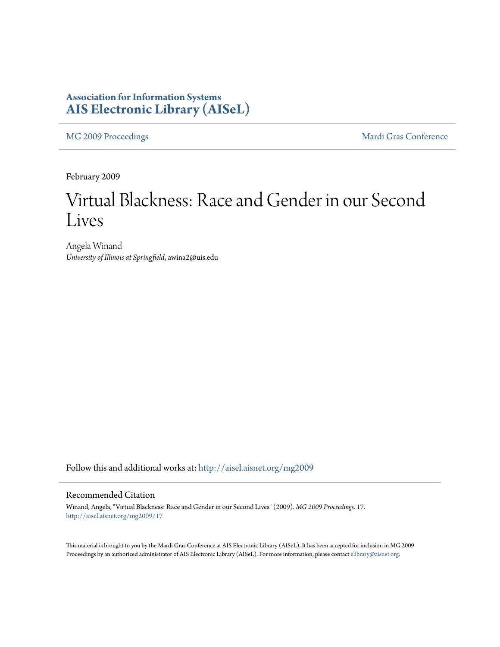### **Association for Information Systems [AIS Electronic Library \(AISeL\)](http://aisel.aisnet.org?utm_source=aisel.aisnet.org%2Fmg2009%2F17&utm_medium=PDF&utm_campaign=PDFCoverPages)**

[MG 2009 Proceedings](http://aisel.aisnet.org/mg2009?utm_source=aisel.aisnet.org%2Fmg2009%2F17&utm_medium=PDF&utm_campaign=PDFCoverPages) **[Mardi Gras Conference](http://aisel.aisnet.org/mg?utm_source=aisel.aisnet.org%2Fmg2009%2F17&utm_medium=PDF&utm_campaign=PDFCoverPages)** Mardi Gras Conference

February 2009

# Virtual Blackness: Race and Gender in our Second Lives

Angela Winand *University of Illinois at Springfield*, awina2@uis.edu

Follow this and additional works at: [http://aisel.aisnet.org/mg2009](http://aisel.aisnet.org/mg2009?utm_source=aisel.aisnet.org%2Fmg2009%2F17&utm_medium=PDF&utm_campaign=PDFCoverPages)

#### Recommended Citation

Winand, Angela, "Virtual Blackness: Race and Gender in our Second Lives" (2009). *MG 2009 Proceedings*. 17. [http://aisel.aisnet.org/mg2009/17](http://aisel.aisnet.org/mg2009/17?utm_source=aisel.aisnet.org%2Fmg2009%2F17&utm_medium=PDF&utm_campaign=PDFCoverPages)

This material is brought to you by the Mardi Gras Conference at AIS Electronic Library (AISeL). It has been accepted for inclusion in MG 2009 Proceedings by an authorized administrator of AIS Electronic Library (AISeL). For more information, please contact [elibrary@aisnet.org](mailto:elibrary@aisnet.org%3E).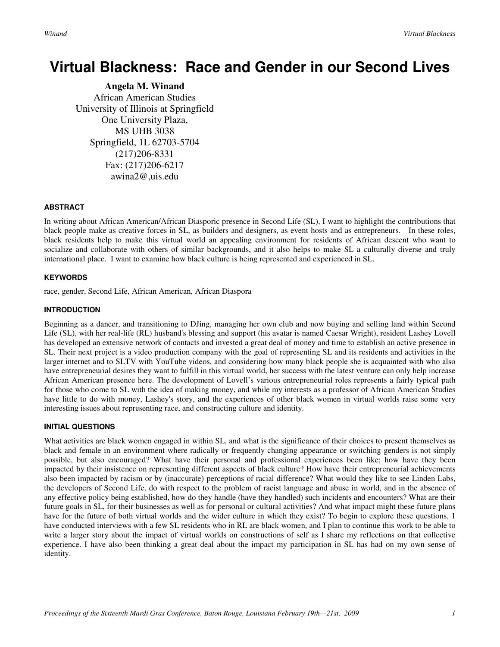## **Virtual Blackness: Race and Gender in our Second Lives**

**Angela M. Winand**  African American Studies University of Illinois at Springfield One University Plaza, MS UHB 3038 Springfield, 1L 62703-5704 (217)206-8331 Fax: (217)206-6217 awina2@,uis.edu

#### **ABSTRACT**

In writing about African American/African Diasporic presence in Second Life (SL), I want to highlight the contributions that black people make as creative forces in SL, as builders and designers, as event hosts and as entrepreneurs. In these roles, black residents help to make this virtual world an appealing environment for residents of African descent who want to socialize and collaborate with others of similar backgrounds, and it also helps to make SL a culturally diverse and truly international place. I want to examine how black culture is being represented and experienced in SL.

#### **KEYWORDS**

race, gender, Second Life, African American, African Diaspora

#### **INTRODUCTION**

Beginning as a dancer, and transitioning to DJing, managing her own club and now buying and selling land within Second Life (SL), with her real-life (RL) husband's blessing and support (his avatar is named Caesar Wright), resident Lashey Lovell has developed an extensive network of contacts and invested a great deal of money and time to establish an active presence in SL. Their next project is a video production company with the goal of representing SL and its residents and activities in the larger internet and to SLTV with YouTube videos, and considering how many black people she is acquainted with who also have entrepreneurial desires they want to fulfill in this virtual world, her success with the latest venture can only help increase African American presence here. The development of Lovell's various entrepreneurial roles represents a fairly typical path for those who come to SL with the idea of making money, and while my interests as a professor of African American Studies have little to do with money, Lashey's story, and the experiences of other black women in virtual worlds raise some very interesting issues about representing race, and constructing culture and identity.

#### **INITIAL QUESTIONS**

What activities are black women engaged in within SL, and what is the significance of their choices to present themselves as black and female in an environment where radically or frequently changing appearance or switching genders is not simply possible, but also encouraged? What have their personal and professional experiences been like; how have they been impacted by their insistence on representing different aspects of black culture? How have their entrepreneurial achievements also been impacted by racism or by (inaccurate) perceptions of racial difference? What would they like to see Linden Labs, the developers of Second Life, do with respect to the problem of racist language and abuse in world, and in the absence of any effective policy being established, how do they handle (have they handled) such incidents and encounters? What are their future goals in SL, for their businesses as well as for personal or cultural activities? And what impact might these future plans have for the future of both virtual worlds and the wider culture in which they exist? To begin to explore these questions, 1 have conducted interviews with a few SL residents who in RL are black women, and I plan to continue this work to be able to write a larger story about the impact of virtual worlds on constructions of self as I share my reflections on that collective experience. I have also been thinking a great deal about the impact my participation in SL has had on my own sense of identity.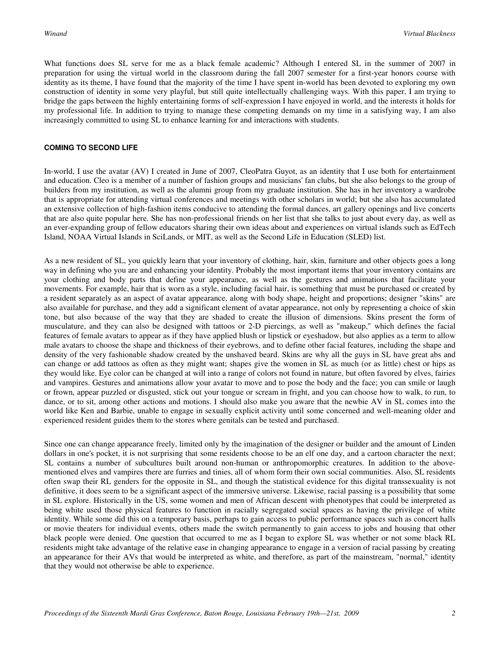What functions does SL serve for me as a black female academic? Although I entered SL in the summer of 2007 in preparation for using the virtual world in the classroom during the fall 2007 semester for a first-year honors course with identity as its theme, I have found that the majority of the time I have spent in-world has been devoted to exploring my own construction of identity in some very playful, but still quite intellectually challenging ways. With this paper, I am trying to bridge the gaps between the highly entertaining forms of self-expression I have enjoyed in world, and the interests it holds for my professional life. In addition to trying to manage these competing demands on my time in a satisfying way, I am also increasingly committed to using SL to enhance learning for and interactions with students.

#### **COMING TO SECOND LIFE**

In-world, I use the avatar (AV) I created in June of 2007, CleoPatra Guyot, as an identity that I use both for entertainment and education. Cleo is a member of a number of fashion groups and musicians' fan clubs, but she also belongs to the group of builders from my institution, as well as the alumni group from my graduate institution. She has in her inventory a wardrobe that is appropriate for attending virtual conferences and meetings with other scholars in world; but she also has accumulated an extensive collection of high-fashion items conducive to attending the formal dances, art gallery openings and live concerts that are also quite popular here. She has non-professional friends on her list that she talks to just about every day, as well as an ever-expanding group of fellow educators sharing their own ideas about and experiences on virtual islands such as EdTech Island, NOAA Virtual Islands in SciLands, or MIT, as well as the Second Life in Education (SLED) list.

As a new resident of SL, you quickly learn that your inventory of clothing, hair, skin, furniture and other objects goes a long way in defining who you are and enhancing your identity. Probably the most important items that your inventory contains are your clothing and body parts that define your appearance, as well as the gestures and animations that facilitate your movements. For example, hair that is worn as a style, including facial hair, is something that must be purchased or created by a resident separately as an aspect of avatar appearance, along with body shape, height and proportions; designer "skins" are also available for purchase, and they add a significant element of avatar appearance, not only by representing a choice of skin tone, but also because of the way that they are shaded to create the illusion of dimensions. Skins present the form of musculature, and they can also be designed with tattoos or 2-D piercings, as well as "makeup," which defines the facial features of female avatars to appear as if they have applied blush or lipstick or eyeshadow, but also applies as a term to allow male avatars to choose the shape and thickness of their eyebrows, and to define other facial features, including the shape and density of the very fashionable shadow created by the unshaved beard. Skins are why all the guys in SL have great abs and can change or add tattoos as often as they might want; shapes give the women in SL as much (or as little) chest or hips as they would like. Eye color can be changed at will into a range of colors not found in nature, but often favored by elves, fairies and vampires. Gestures and animations allow your avatar to move and to pose the body and the face; you can smile or laugh or frown, appear puzzled or disgusted, stick out your tongue or scream in fright, and you can choose how to walk, to run, to dance, or to sit, among other actions and motions. I should also make you aware that the newbie AV in SL comes into the world like Ken and Barbie, unable to engage in sexually explicit activity until some concerned and well-meaning older and experienced resident guides them to the stores where genitals can be tested and purchased.

Since one can change appearance freely, limited only by the imagination of the designer or builder and the amount of Linden dollars in one's pocket, it is not surprising that some residents choose to be an elf one day, and a cartoon character the next; SL contains a number of subcultures built around non-human or anthropomorphic creatures. In addition to the abovementioned elves and vampires there are furries and tinies, all of whom form their own social communities. Also, SL residents often swap their RL genders for the opposite in SL, and though the statistical evidence for this digital transsexuality is not definitive, it does seem to be a significant aspect of the immersive universe. Likewise, racial passing is a possibility that some in SL explore. Historically in the US, some women and men of African descent with phenotypes that could be interpreted as being white used those physical features to function in racially segregated social spaces as having the privilege of white identity. While some did this on a temporary basis, perhaps to gain access to public performance spaces such as concert halls or movie theaters for individual events, others made the switch permanently to gain access to jobs and housing that other black people were denied. One question that occurred to me as I began to explore SL was whether or not some black RL residents might take advantage of the relative ease in changing appearance to engage in a version of racial passing by creating an appearance for their AVs that would be interpreted as white, and therefore, as part of the mainstream, "normal," identity that they would not otherwise be able to experience.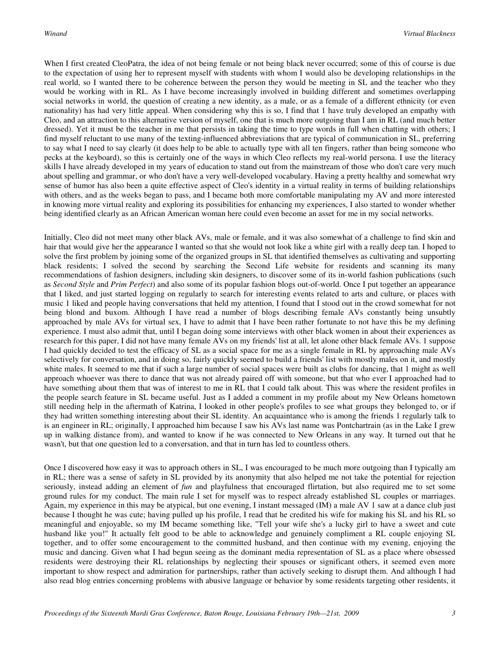When I first created CleoPatra, the idea of not being female or not being black never occurred; some of this of course is due to the expectation of using her to represent myself with students with whom I would also be developing relationships in the real world, so I wanted there to be coherence between the person they would be meeting in SL and the teacher who they would be working with in RL. As I have become increasingly involved in building different and sometimes overlapping social networks in world, the question of creating a new identity, as a male, or as a female of a different ethnicity (or even nationality) has had very little appeal. When considering why this is so, I find that 1 have truly developed an empathy with Cleo, and an attraction to this alternative version of myself, one that is much more outgoing than I am in RL (and much better dressed). Yet it must be the teacher in me that persists in taking the time to type words in full when chatting with others; I find myself reluctant to use many of the texting-influenced abbreviations that are typical of communication in SL, preferring to say what I need to say clearly (it does help to be able to actually type with all ten fingers, rather than being someone who pecks at the keyboard), so this is certainly one of the ways in which Cleo reflects my real-world persona. I use the literacy skills I have already developed in my years of education to stand out from the mainstream of those who don't care very much about spelling and grammar, or who don't have a very well-developed vocabulary. Having a pretty healthy and somewhat wry sense of humor has also been a quite effective aspect of Cleo's identity in a virtual reality in terms of building relationships with others, and as the weeks began to pass, and I became both more comfortable manipulating my AV and more interested in knowing more virtual reality and exploring its possibilities for enhancing my experiences, I also started to wonder whether being identified clearly as an African American woman here could even become an asset for me in my social networks.

Initially, Cleo did not meet many other black AVs, male or female, and it was also somewhat of a challenge to find skin and hair that would give her the appearance I wanted so that she would not look like a white girl with a really deep tan. I hoped to solve the first problem by joining some of the organized groups in SL that identified themselves as cultivating and supporting black residents; I solved the second by searching the Second Life website for residents and scanning its many recommendations of fashion designers, including skin designers, to discover some of its in-world fashion publications (such as *Second Style* and *Prim Perfect*) and also some of its popular fashion blogs out-of-world. Once I put together an appearance that I liked, and just started logging on regularly to search for interesting events related to arts and culture, or places with music 1 liked and people having conversations that held my attention, I found that I stood out in the crowd somewhat for not being blond and buxom. Although I have read a number of blogs describing female AVs constantly being unsubtly approached by male AVs for virtual sex, I have to admit that I have been rather fortunate to not have this be my defining experience. I must also admit that, until I began doing some interviews with other black women in about their experiences as research for this paper, I did not have many female AVs on my friends' list at all, let alone other black female AVs. 1 suppose I had quickly decided to test the efficacy of SL as a social space for me as a single female in RL by approaching male AVs selectively for conversation, and in doing so, fairly quickly seemed to build a friends' list with mostly males on it, and mostly white males. It seemed to me that if such a large number of social spaces were built as clubs for dancing, that 1 might as well approach whoever was there to dance that was not already paired off with someone, but that who ever I approached had to have something about them that was of interest to me in RL that I could talk about. This was where the resident profiles in the people search feature in SL became useful. Just as I added a comment in my profile about my New Orleans hometown still needing help in the aftermath of Katrina, I looked in other people's profiles to see what groups they belonged to, or if they had written something interesting about their SL identity. An acquaintance who is among the friends 1 regularly talk to is an engineer in RL; originally, I approached him because I saw his AVs last name was Pontchartrain (as in the Lake I grew up in walking distance from), and wanted to know if he was connected to New Orleans in any way. It turned out that he wasn't, but that one question led to a conversation, and that in turn has led to countless others.

Once I discovered how easy it was to approach others in SL, I was encouraged to be much more outgoing than I typically am in RL; there was a sense of safety in SL provided by its anonymity that also helped me not take the potential for rejection seriously, instead adding an element of *fun* and playfulness that encouraged flirtation, but also required me to set some ground rules for my conduct. The main rule I set for myself was to respect already established SL couples or marriages. Again, my experience in this may be atypical, but one evening, I instant messaged (IM) a male AV 1 saw at a dance club just because I thought he was cute; having pulled up his profile, I read that he credited his wife for making his SL and his RL so meaningful and enjoyable, so my IM became something like, "Tell your wife she's a lucky girl to have a sweet and cute husband like you!" It actually felt good to be able to acknowledge and genuinely compliment a RL couple enjoying SL together, and to offer some encouragement to the committed husband, and then continue with my evening, enjoying the music and dancing. Given what I had begun seeing as the dominant media representation of SL as a place where obsessed residents were destroying their RL relationships by neglecting their spouses or significant others, it seemed even more important to show respect and admiration for partnerships, rather than actively seeking to disrupt them. And although I had also read blog entries concerning problems with abusive language or behavior by some residents targeting other residents, it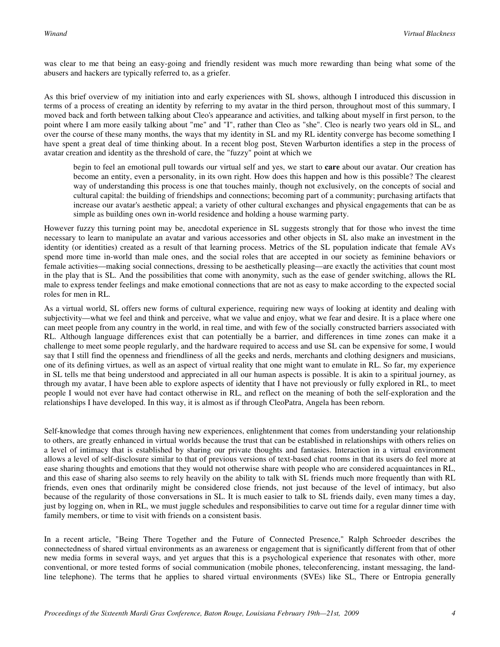was clear to me that being an easy-going and friendly resident was much more rewarding than being what some of the abusers and hackers are typically referred to, as a griefer.

As this brief overview of my initiation into and early experiences with SL shows, although I introduced this discussion in terms of a process of creating an identity by referring to my avatar in the third person, throughout most of this summary, I moved back and forth between talking about Cleo's appearance and activities, and talking about myself in first person, to the point where I am more easily talking about "me" and "I", rather than Cleo as "she". Cleo is nearly two years old in SL, and over the course of these many months, the ways that my identity in SL and my RL identity converge has become something I have spent a great deal of time thinking about. In a recent blog post, Steven Warburton identifies a step in the process of avatar creation and identity as the threshold of care, the "fuzzy" point at which we

begin to feel an emotional pull towards our virtual self and yes, we start to **care** about our avatar. Our creation has become an entity, even a personality, in its own right. How does this happen and how is this possible? The clearest way of understanding this process is one that touches mainly, though not exclusively, on the concepts of social and cultural capital: the building of friendships and connections; becoming part of a community; purchasing artifacts that increase our avatar's aesthetic appeal; a variety of other cultural exchanges and physical engagements that can be as simple as building ones own in-world residence and holding a house warming party.

However fuzzy this turning point may be, anecdotal experience in SL suggests strongly that for those who invest the time necessary to learn to manipulate an avatar and various accessories and other objects in SL also make an investment in the identity (or identities) created as a result of that learning process. Metrics of the SL population indicate that female AVs spend more time in-world than male ones, and the social roles that are accepted in our society as feminine behaviors or female activities—making social connections, dressing to be aesthetically pleasing—are exactly the activities that count most in the play that is SL. And the possibilities that come with anonymity, such as the ease of gender switching, allows the RL male to express tender feelings and make emotional connections that are not as easy to make according to the expected social roles for men in RL.

As a virtual world, SL offers new forms of cultural experience, requiring new ways of looking at identity and dealing with subjectivity—what we feel and think and perceive, what we value and enjoy, what we fear and desire. It is a place where one can meet people from any country in the world, in real time, and with few of the socially constructed barriers associated with RL. Although language differences exist that can potentially be a barrier, and differences in time zones can make it a challenge to meet some people regularly, and the hardware required to access and use SL can be expensive for some, I would say that I still find the openness and friendliness of all the geeks and nerds, merchants and clothing designers and musicians, one of its defining virtues, as well as an aspect of virtual reality that one might want to emulate in RL. So far, my experience in SL tells me that being understood and appreciated in all our human aspects is possible. It is akin to a spiritual journey, as through my avatar, I have been able to explore aspects of identity that I have not previously or fully explored in RL, to meet people I would not ever have had contact otherwise in RL, and reflect on the meaning of both the self-exploration and the relationships I have developed. In this way, it is almost as if through CleoPatra, Angela has been reborn.

Self-knowledge that comes through having new experiences, enlightenment that comes from understanding your relationship to others, are greatly enhanced in virtual worlds because the trust that can be established in relationships with others relies on a level of intimacy that is established by sharing our private thoughts and fantasies. Interaction in a virtual environment allows a level of self-disclosure similar to that of previous versions of text-based chat rooms in that its users do feel more at ease sharing thoughts and emotions that they would not otherwise share with people who are considered acquaintances in RL, and this ease of sharing also seems to rely heavily on the ability to talk with SL friends much more frequently than with RL friends, even ones that ordinarily might be considered close friends, not just because of the level of intimacy, but also because of the regularity of those conversations in SL. It is much easier to talk to SL friends daily, even many times a day, just by logging on, when in RL, we must juggle schedules and responsibilities to carve out time for a regular dinner time with family members, or time to visit with friends on a consistent basis.

In a recent article, "Being There Together and the Future of Connected Presence," Ralph Schroeder describes the connectedness of shared virtual environments as an awareness or engagement that is significantly different from that of other new media forms in several ways, and yet argues that this is a psychological experience that resonates with other, more conventional, or more tested forms of social communication (mobile phones, teleconferencing, instant messaging, the landline telephone). The terms that he applies to shared virtual environments (SVEs) like SL, There or Entropia generally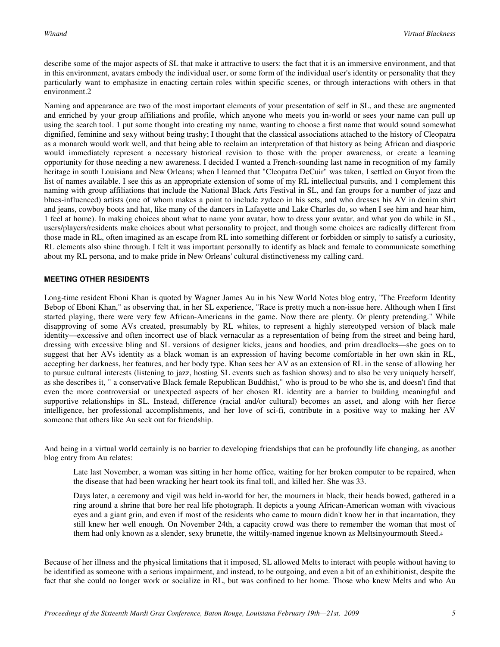describe some of the major aspects of SL that make it attractive to users: the fact that it is an immersive environment, and that in this environment, avatars embody the individual user, or some form of the individual user's identity or personality that they particularly want to emphasize in enacting certain roles within specific scenes, or through interactions with others in that environment.2

Naming and appearance are two of the most important elements of your presentation of self in SL, and these are augmented and enriched by your group affiliations and profile, which anyone who meets you in-world or sees your name can pull up using the search tool. 1 put some thought into creating my name, wanting to choose a first name that would sound somewhat dignified, feminine and sexy without being trashy; I thought that the classical associations attached to the history of Cleopatra as a monarch would work well, and that being able to reclaim an interpretation of that history as being African and diasporic would immediately represent a necessary historical revision to those with the proper awareness, or create a learning opportunity for those needing a new awareness. I decided I wanted a French-sounding last name in recognition of my family heritage in south Louisiana and New Orleans; when I learned that "Cleopatra DeCuir" was taken, I settled on Guyot from the list of names available. I see this as an appropriate extension of some of my RL intellectual pursuits, and 1 complement this naming with group affiliations that include the National Black Arts Festival in SL, and fan groups for a number of jazz and blues-influenced) artists (one of whom makes a point to include zydeco in his sets, and who dresses his AV in denim shirt and jeans, cowboy boots and hat, like many of the dancers in Lafayette and Lake Charles do, so when I see him and hear him, 1 feel at home). In making choices about what to name your avatar, how to dress your avatar, and what you do while in SL, users/players/residents make choices about what personality to project, and though some choices are radically different from those made in RL, often imagined as an escape from RL into something different or forbidden or simply to satisfy a curiosity, RL elements also shine through. I felt it was important personally to identify as black and female to communicate something about my RL persona, and to make pride in New Orleans' cultural distinctiveness my calling card.

#### **MEETING OTHER RESIDENTS**

Long-time resident Eboni Khan is quoted by Wagner James Au in his New World Notes blog entry, "The Freeform Identity Bebop of Eboni Khan," as observing that, in her SL experience, "Race is pretty much a non-issue here. Although when I first started playing, there were very few African-Americans in the game. Now there are plenty. Or plenty pretending." While disapproving of some AVs created, presumably by RL whites, to represent a highly stereotyped version of black male identity—excessive and often incorrect use of black vernacular as a representation of being from the street and being hard, dressing with excessive bling and SL versions of designer kicks, jeans and hoodies, and prim dreadlocks—she goes on to suggest that her AVs identity as a black woman is an expression of having become comfortable in her own skin in RL, accepting her darkness, her features, and her body type. Khan sees her AV as an extension of RL in the sense of allowing her to pursue cultural interests (listening to jazz, hosting SL events such as fashion shows) and to also be very uniquely herself, as she describes it, " a conservative Black female Republican Buddhist," who is proud to be who she is, and doesn't find that even the more controversial or unexpected aspects of her chosen RL identity are a barrier to building meaningful and supportive relationships in SL. Instead, difference (racial and/or cultural) becomes an asset, and along with her fierce intelligence, her professional accomplishments, and her love of sci-fi, contribute in a positive way to making her AV someone that others like Au seek out for friendship.

And being in a virtual world certainly is no barrier to developing friendships that can be profoundly life changing, as another blog entry from Au relates:

Late last November, a woman was sitting in her home office, waiting for her broken computer to be repaired, when the disease that had been wracking her heart took its final toll, and killed her. She was 33.

Days later, a ceremony and vigil was held in-world for her, the mourners in black, their heads bowed, gathered in a ring around a shrine that bore her real life photograph. It depicts a young African-American woman with vivacious eyes and a giant grin, and even if most of the residents who came to mourn didn't know her in that incarnation, they still knew her well enough. On November 24th, a capacity crowd was there to remember the woman that most of them had only known as a slender, sexy brunette, the wittily-named ingenue known as Meltsinyourmouth Steed.<sup>4</sup>

Because of her illness and the physical limitations that it imposed, SL allowed Melts to interact with people without having to be identified as someone with a serious impairment, and instead, to be outgoing, and even a bit of an exhibitionist, despite the fact that she could no longer work or socialize in RL, but was confined to her home. Those who knew Melts and who Au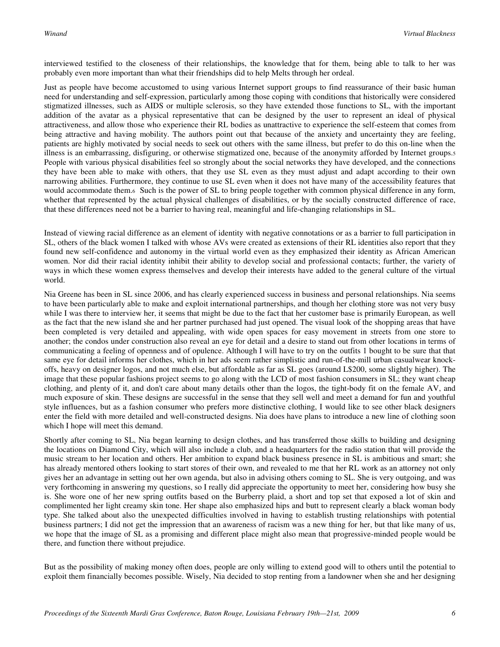interviewed testified to the closeness of their relationships, the knowledge that for them, being able to talk to her was probably even more important than what their friendships did to help Melts through her ordeal.

Just as people have become accustomed to using various Internet support groups to find reassurance of their basic human need for understanding and self-expression, particularly among those coping with conditions that historically were considered stigmatized illnesses, such as AIDS or multiple sclerosis, so they have extended those functions to SL, with the important addition of the avatar as a physical representative that can be designed by the user to represent an ideal of physical attractiveness, and allow those who experience their RL bodies as unattractive to experience the self-esteem that comes from being attractive and having mobility. The authors point out that because of the anxiety and uncertainty they are feeling, patients are highly motivated by social needs to seek out others with the same illness, but prefer to do this on-line when the illness is an embarrassing, disfiguring, or otherwise stigmatized one, because of the anonymity afforded by Internet groups.<sup>5</sup> People with various physical disabilities feel so strongly about the social networks they have developed, and the connections they have been able to make with others, that they use SL even as they must adjust and adapt according to their own narrowing abilities. Furthermore, they continue to use SL even when it does not have many of the accessibility features that would accommodate them.6 Such is the power of SL to bring people together with common physical difference in any form, whether that represented by the actual physical challenges of disabilities, or by the socially constructed difference of race, that these differences need not be a barrier to having real, meaningful and life-changing relationships in SL.

Instead of viewing racial difference as an element of identity with negative connotations or as a barrier to full participation in SL, others of the black women I talked with whose AVs were created as extensions of their RL identities also report that they found new self-confidence and autonomy in the virtual world even as they emphasized their identity as African American women. Nor did their racial identity inhibit their ability to develop social and professional contacts; further, the variety of ways in which these women express themselves and develop their interests have added to the general culture of the virtual world.

Nia Greene has been in SL since 2006, and has clearly experienced success in business and personal relationships. Nia seems to have been particularly able to make and exploit international partnerships, and though her clothing store was not very busy while I was there to interview her, it seems that might be due to the fact that her customer base is primarily European, as well as the fact that the new island she and her partner purchased had just opened. The visual look of the shopping areas that have been completed is very detailed and appealing, with wide open spaces for easy movement in streets from one store to another; the condos under construction also reveal an eye for detail and a desire to stand out from other locations in terms of communicating a feeling of openness and of opulence. Although I will have to try on the outfits 1 bought to be sure that that same eye for detail informs her clothes, which in her ads seem rather simplistic and run-of-the-mill urban casualwear knockoffs, heavy on designer logos, and not much else, but affordable as far as SL goes (around L\$200, some slightly higher). The image that these popular fashions project seems to go along with the LCD of most fashion consumers in SL; they want cheap clothing, and plenty of it, and don't care about many details other than the logos, the tight-body fit on the female AV, and much exposure of skin. These designs are successful in the sense that they sell well and meet a demand for fun and youthful style influences, but as a fashion consumer who prefers more distinctive clothing, I would like to see other black designers enter the field with more detailed and well-constructed designs. Nia does have plans to introduce a new line of clothing soon which I hope will meet this demand.

Shortly after coming to SL, Nia began learning to design clothes, and has transferred those skills to building and designing the locations on Diamond City, which will also include a club, and a headquarters for the radio station that will provide the music stream to her location and others. Her ambition to expand black business presence in SL is ambitious and smart; she has already mentored others looking to start stores of their own, and revealed to me that her RL work as an attorney not only gives her an advantage in setting out her own agenda, but also in advising others coming to SL. She is very outgoing, and was very forthcoming in answering my questions, so I really did appreciate the opportunity to meet her, considering how busy she is. She wore one of her new spring outfits based on the Burberry plaid, a short and top set that exposed a lot of skin and complimented her light creamy skin tone. Her shape also emphasized hips and butt to represent clearly a black woman body type. She talked about also the unexpected difficulties involved in having to establish trusting relationships with potential business partners; I did not get the impression that an awareness of racism was a new thing for her, but that like many of us, we hope that the image of SL as a promising and different place might also mean that progressive-minded people would be there, and function there without prejudice.

But as the possibility of making money often does, people are only willing to extend good will to others until the potential to exploit them financially becomes possible. Wisely, Nia decided to stop renting from a landowner when she and her designing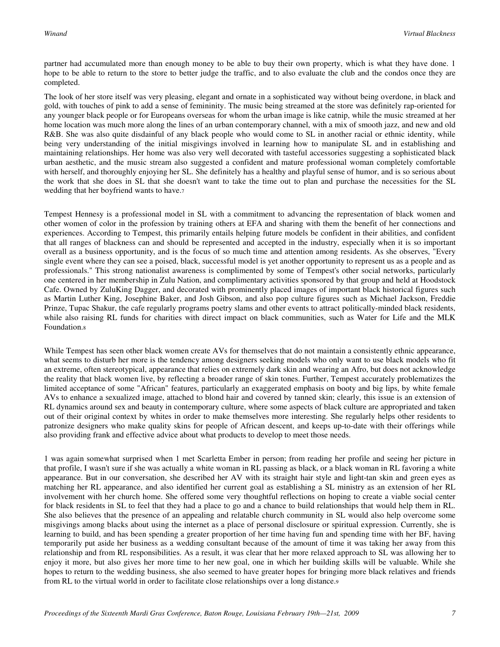partner had accumulated more than enough money to be able to buy their own property, which is what they have done. 1 hope to be able to return to the store to better judge the traffic, and to also evaluate the club and the condos once they are completed.

The look of her store itself was very pleasing, elegant and ornate in a sophisticated way without being overdone, in black and gold, with touches of pink to add a sense of femininity. The music being streamed at the store was definitely rap-oriented for any younger black people or for Europeans overseas for whom the urban image is like catnip, while the music streamed at her home location was much more along the lines of an urban contemporary channel, with a mix of smooth jazz, and new and old R&B. She was also quite disdainful of any black people who would come to SL in another racial or ethnic identity, while being very understanding of the initial misgivings involved in learning how to manipulate SL and in establishing and maintaining relationships. Her home was also very well decorated with tasteful accessories suggesting a sophisticated black urban aesthetic, and the music stream also suggested a confident and mature professional woman completely comfortable with herself, and thoroughly enjoying her SL. She definitely has a healthy and playful sense of humor, and is so serious about the work that she does in SL that she doesn't want to take the time out to plan and purchase the necessities for the SL wedding that her boyfriend wants to have.<sup>7</sup>

Tempest Hennesy is a professional model in SL with a commitment to advancing the representation of black women and other women of color in the profession by training others at EFA and sharing with them the benefit of her connections and experiences. According to Tempest, this primarily entails helping future models be confident in their abilities, and confident that all ranges of blackness can and should be represented and accepted in the industry, especially when it is so important overall as a business opportunity, and is the focus of so much time and attention among residents. As she observes, "Every single event where they can see a poised, black, successful model is yet another opportunity to represent us as a people and as professionals." This strong nationalist awareness is complimented by some of Tempest's other social networks, particularly one centered in her membership in Zulu Nation, and complimentary activities sponsored by that group and held at Hoodstock Cafe. Owned by ZuluKing Dagger, and decorated with prominently placed images of important black historical figures such as Martin Luther King, Josephine Baker, and Josh Gibson, and also pop culture figures such as Michael Jackson, Freddie Prinze, Tupac Shakur, the cafe regularly programs poetry slams and other events to attract politically-minded black residents, while also raising RL funds for charities with direct impact on black communities, such as Water for Life and the MLK Foundation.<sup>8</sup>

While Tempest has seen other black women create AVs for themselves that do not maintain a consistently ethnic appearance, what seems to disturb her more is the tendency among designers seeking models who only want to use black models who fit an extreme, often stereotypical, appearance that relies on extremely dark skin and wearing an Afro, but does not acknowledge the reality that black women live, by reflecting a broader range of skin tones. Further, Tempest accurately problematizes the limited acceptance of some "African" features, particularly an exaggerated emphasis on booty and big lips, by white female AVs to enhance a sexualized image, attached to blond hair and covered by tanned skin; clearly, this issue is an extension of RL dynamics around sex and beauty in contemporary culture, where some aspects of black culture are appropriated and taken out of their original context by whites in order to make themselves more interesting. She regularly helps other residents to patronize designers who make quality skins for people of African descent, and keeps up-to-date with their offerings while also providing frank and effective advice about what products to develop to meet those needs.

1 was again somewhat surprised when 1 met Scarletta Ember in person; from reading her profile and seeing her picture in that profile, I wasn't sure if she was actually a white woman in RL passing as black, or a black woman in RL favoring a white appearance. But in our conversation, she described her AV with its straight hair style and light-tan skin and green eyes as matching her RL appearance, and also identified her current goal as establishing a SL ministry as an extension of her RL involvement with her church home. She offered some very thoughtful reflections on hoping to create a viable social center for black residents in SL to feel that they had a place to go and a chance to build relationships that would help them in RL. She also believes that the presence of an appealing and relatable church community in SL would also help overcome some misgivings among blacks about using the internet as a place of personal disclosure or spiritual expression. Currently, she is learning to build, and has been spending a greater proportion of her time having fun and spending time with her BF, having temporarily put aside her business as a wedding consultant because of the amount of time it was taking her away from this relationship and from RL responsibilities. As a result, it was clear that her more relaxed approach to SL was allowing her to enjoy it more, but also gives her more time to her new goal, one in which her building skills will be valuable. While she hopes to return to the wedding business, she also seemed to have greater hopes for bringing more black relatives and friends from RL to the virtual world in order to facilitate close relationships over a long distance.9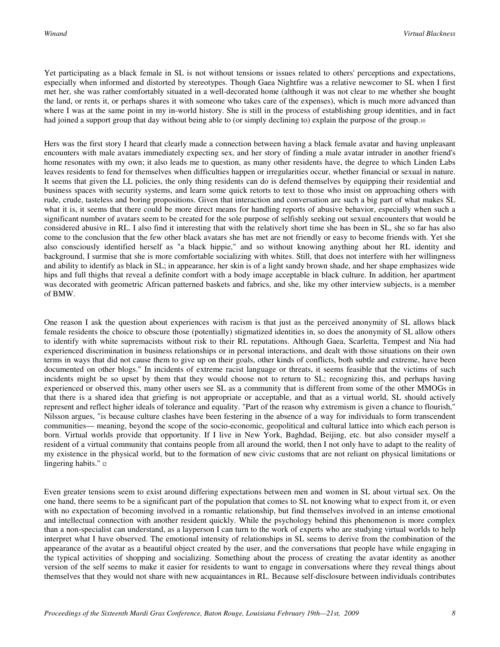Yet participating as a black female in SL is not without tensions or issues related to others' perceptions and expectations, especially when informed and distorted by stereotypes. Though Gaea Nightfire was a relative newcomer to SL when I first met her, she was rather comfortably situated in a well-decorated home (although it was not clear to me whether she bought the land, or rents it, or perhaps shares it with someone who takes care of the expenses), which is much more advanced than where I was at the same point in my in-world history. She is still in the process of establishing group identities, and in fact had joined a support group that day without being able to (or simply declining to) explain the purpose of the group.10

Hers was the first story I heard that clearly made a connection between having a black female avatar and having unpleasant encounters with male avatars immediately expecting sex, and her story of finding a male avatar intruder in another friend's home resonates with my own; it also leads me to question, as many other residents have, the degree to which Linden Labs leaves residents to fend for themselves when difficulties happen or irregularities occur, whether financial or sexual in nature. It seems that given the LL policies, the only thing residents can do is defend themselves by equipping their residential and business spaces with security systems, and learn some quick retorts to text to those who insist on approaching others with rude, crude, tasteless and boring propositions. Given that interaction and conversation are such a big part of what makes SL what it is, it seems that there could be more direct means for handling reports of abusive behavior, especially when such a significant number of avatars seem to be created for the sole purpose of selfishly seeking out sexual encounters that would be considered abusive in RL. I also find it interesting that with the relatively short time she has been in SL, she so far has also come to the conclusion that the few other black avatars she has met are not friendly or easy to become friends with. Yet she also consciously identified herself as "a black hippie," and so without knowing anything about her RL identity and background, I surmise that she is more comfortable socializing with whites. Still, that does not interfere with her willingness and ability to identify as black in SL; in appearance, her skin is of a light sandy brown shade, and her shape emphasizes wide hips and full thighs that reveal a definite comfort with a body image acceptable in black culture. In addition, her apartment was decorated with geometric African patterned baskets and fabrics, and she, like my other interview subjects, is a member of BMW.

One reason I ask the question about experiences with racism is that just as the perceived anonymity of SL allows black female residents the choice to obscure those (potentially) stigmatized identities in, so does the anonymity of SL allow others to identify with white supremacists without risk to their RL reputations. Although Gaea, Scarletta, Tempest and Nia had experienced discrimination in business relationships or in personal interactions, and dealt with those situations on their own terms in ways that did not cause them to give up on their goals, other kinds of conflicts, both subtle and extreme, have been documented on other blogs." In incidents of extreme racist language or threats, it seems feasible that the victims of such incidents might be so upset by them that they would choose not to return to SL; recognizing this, and perhaps having experienced or observed this, many other users see SL as a community that is different from some of the other MMOGs in that there is a shared idea that griefing is not appropriate or acceptable, and that as a virtual world, SL should actively represent and reflect higher ideals of tolerance and equality. "Part of the reason why extremism is given a chance to flourish," Nilsson argues, "is because culture clashes have been festering in the absence of a way for individuals to form transcendent communities— meaning, beyond the scope of the socio-economic, geopolitical and cultural lattice into which each person is born. Virtual worlds provide that opportunity. If I live in New York, Baghdad, Beijing, etc. but also consider myself a resident of a virtual community that contains people from all around the world, then I not only have to adapt to the reality of my existence in the physical world, but to the formation of new civic customs that are not reliant on physical limitations or lingering habits." 12

Even greater tensions seem to exist around differing expectations between men and women in SL about virtual sex. On the one hand, there seems to be a significant part of the population that comes to SL not knowing what to expect from it, or even with no expectation of becoming involved in a romantic relationship, but find themselves involved in an intense emotional and intellectual connection with another resident quickly. While the psychology behind this phenomenon is more complex than a non-specialist can understand, as a layperson I can turn to the work of experts who are studying virtual worlds to help interpret what I have observed. The emotional intensity of relationships in SL seems to derive from the combination of the appearance of the avatar as a beautiful object created by the user, and the conversations that people have while engaging in the typical activities of shopping and socializing. Something about the process of creating the avatar identity as another version of the self seems to make it easier for residents to want to engage in conversations where they reveal things about themselves that they would not share with new acquaintances in RL. Because self-disclosure between individuals contributes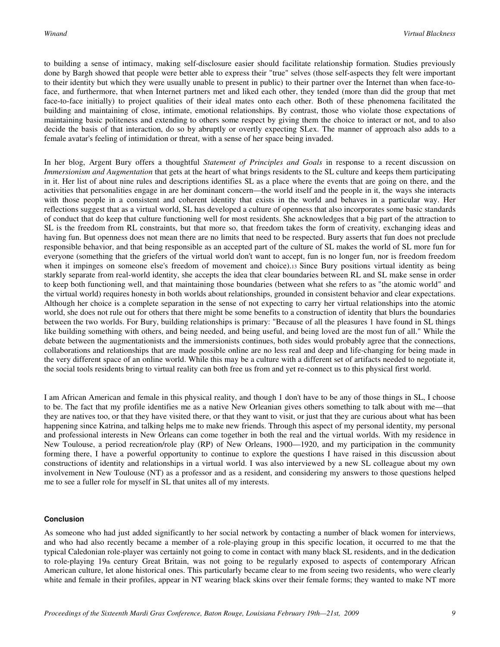to building a sense of intimacy, making self-disclosure easier should facilitate relationship formation. Studies previously done by Bargh showed that people were better able to express their "true" selves (those self-aspects they felt were important to their identity but which they were usually unable to present in public) to their partner over the Internet than when face-toface, and furthermore, that when Internet partners met and liked each other, they tended (more than did the group that met face-to-face initially) to project qualities of their ideal mates onto each other. Both of these phenomena facilitated the building and maintaining of close, intimate, emotional relationships. By contrast, those who violate those expectations of maintaining basic politeness and extending to others some respect by giving them the choice to interact or not, and to also decide the basis of that interaction, do so by abruptly or overtly expecting SLex. The manner of approach also adds to a female avatar's feeling of intimidation or threat, with a sense of her space being invaded.

In her blog, Argent Bury offers a thoughtful *Statement of Principles and Goals* in response to a recent discussion on *Immersionism and Augmentation* that gets at the heart of what brings residents to the SL culture and keeps them participating in it. Her list of about nine rules and descriptions identifies SL as a place where the events that are going on there, and the activities that personalities engage in are her dominant concern—the world itself and the people in it, the ways she interacts with those people in a consistent and coherent identity that exists in the world and behaves in a particular way. Her reflections suggest that as a virtual world, SL has developed a culture of openness that also incorporates some basic standards of conduct that do keep that culture functioning well for most residents. She acknowledges that a big part of the attraction to SL is the freedom from RL constraints, but that more so, that freedom takes the form of creativity, exchanging ideas and having fun. But openness does not mean there are no limits that need to be respected. Bury asserts that fun does not preclude responsible behavior, and that being responsible as an accepted part of the culture of SL makes the world of SL more fun for everyone (something that the griefers of the virtual world don't want to accept, fun is no longer fun, nor is freedom freedom when it impinges on someone else's freedom of movement and choice).<sup>13</sup> Since Bury positions virtual identity as being starkly separate from real-world identity, she accepts the idea that clear boundaries between RL and SL make sense in order to keep both functioning well, and that maintaining those boundaries (between what she refers to as "the atomic world" and the virtual world) requires honesty in both worlds about relationships, grounded in consistent behavior and clear expectations. Although her choice is a complete separation in the sense of not expecting to carry her virtual relationships into the atomic world, she does not rule out for others that there might be some benefits to a construction of identity that blurs the boundaries between the two worlds. For Bury, building relationships is primary: "Because of all the pleasures 1 have found in SL things like building something with others, and being needed, and being useful, and being loved are the most fun of all." While the debate between the augmentationists and the immersionists continues, both sides would probably agree that the connections, collaborations and relationships that are made possible online are no less real and deep and life-changing for being made in the very different space of an online world. While this may be a culture with a different set of artifacts needed to negotiate it, the social tools residents bring to virtual reality can both free us from and yet re-connect us to this physical first world.

I am African American and female in this physical reality, and though 1 don't have to be any of those things in SL, I choose to be. The fact that my profile identifies me as a native New Orleanian gives others something to talk about with me—that they are natives too, or that they have visited there, or that they want to visit, or just that they are curious about what has been happening since Katrina, and talking helps me to make new friends. Through this aspect of my personal identity, my personal and professional interests in New Orleans can come together in both the real and the virtual worlds. With my residence in New Toulouse, a period recreation/role play (RP) of New Orleans, 1900—1920, and my participation in the community forming there, I have a powerful opportunity to continue to explore the questions I have raised in this discussion about constructions of identity and relationships in a virtual world. I was also interviewed by a new SL colleague about my own involvement in New Toulouse (NT) as a professor and as a resident, and considering my answers to those questions helped me to see a fuller role for myself in SL that unites all of my interests.

#### **Conclusion**

As someone who had just added significantly to her social network by contacting a number of black women for interviews, and who had also recently became a member of a role-playing group in this specific location, it occurred to me that the typical Caledonian role-player was certainly not going to come in contact with many black SL residents, and in the dedication to role-playing 19th century Great Britain, was not going to be regularly exposed to aspects of contemporary African American culture, let alone historical ones. This particularly became clear to me from seeing two residents, who were clearly white and female in their profiles, appear in NT wearing black skins over their female forms; they wanted to make NT more